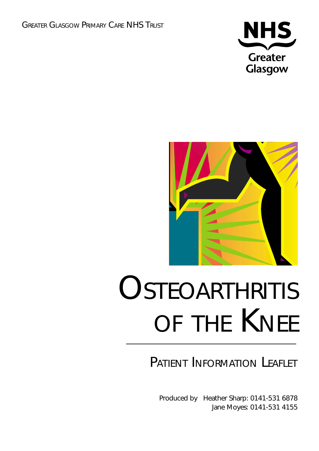



# **OSTEOARTHRITIS** OF THE KNEE

# PATIENT INFORMATION LEAFLET

Produced by Heather Sharp: 0141-531 6878 Jane Moyes: 0141-531 4155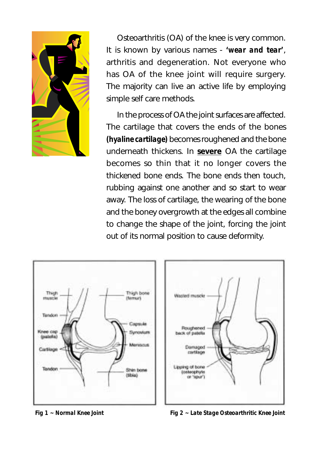

Osteoarthritis (OA) of the knee is very common. It is known by various names - *'wear and tear'*, arthritis and degeneration. Not everyone who has OA of the knee joint will require surgery. The majority can live an active life by employing simple self care methods.

In the process of OA the joint surfaces are affected. The cartilage that covers the ends of the bones *(hyaline cartilage)* becomes roughened and the bone underneath thickens. In **severe** OA the cartilage becomes so thin that it no longer covers the thickened bone ends. The bone ends then touch, rubbing against one another and so start to wear away. The loss of cartilage, the wearing of the bone and the boney overgrowth at the edges all combine to change the shape of the joint, forcing the joint out of its normal position to cause deformity.



*Fig 1 ~ Normal Knee Joint Fig 2 ~ Late Stage Osteoarthritic Knee Joint*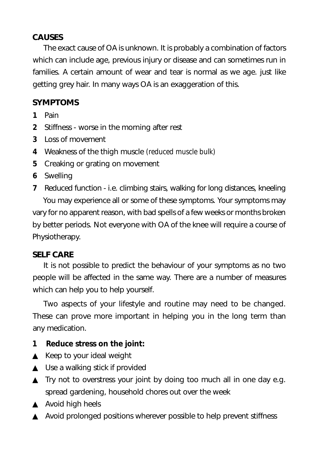### **CAUSES**

The exact cause of OA is unknown. It is probably a combination of factors which can include age, previous injury or disease and can sometimes run in families. A certain amount of wear and tear is normal as we age. just like getting grey hair. In many ways OA is an exaggeration of this.

## **SYMPTOMS**

- **1** Pain
- **2** Stiffness worse in the morning after rest
- **3** Loss of movement
- **4** Weakness of the thigh muscle *(reduced muscle bulk)*
- **5** Creaking or grating on movement
- **6** Swelling
- **7** Reduced function i.e. climbing stairs, walking for long distances, kneeling You may experience all or some of these symptoms. Your symptoms may vary for no apparent reason, with bad spells of a few weeks or months broken by better periods. Not everyone with OA of the knee will require a course of Physiotherapy.

#### **SELF CARE**

It is not possible to predict the behaviour of your symptoms as no two people will be affected in the same way. There are a number of measures which can help you to help yourself.

Two aspects of your lifestyle and routine may need to be changed. These can prove more important in helping you in the long term than any medication.

### **1 Reduce stress on the joint:**

- ▲ Keep to your ideal weight
- $\triangle$  Use a walking stick if provided
- ▲ Try not to overstress your joint by doing too much all in one day e.g. spread gardening, household chores out over the week
- ▲ Avoid high heels
- ▲ Avoid prolonged positions wherever possible to help prevent stiffness